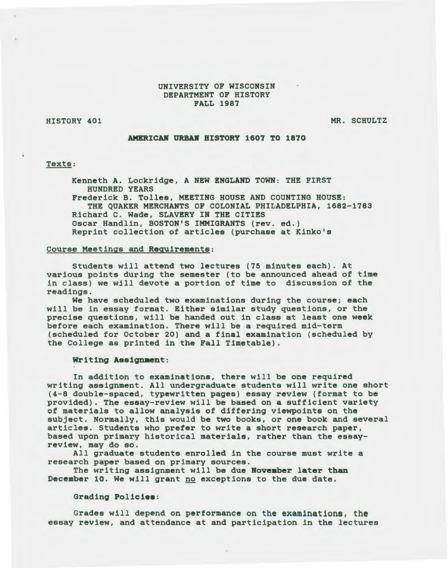## UNIVERSITY OF WISCONSIN DEPARTMENT OF HISTORY FALL 1987

HISTORY 401

MR. SCHULTZ

#### AMERICAR URBAR HISTORY 1607 TO 1870

## Texts:

Kenneth A. Lockridge, A NEW ENGLAND TOWN: THE FIRST HUNDRED YEARS Frederick B. Tolles, MEETING HOUSE AND COUNTING HOUSE: THE QUAKER MERCHANTS OF COLONIAL PHILADELPHIA, 1682-1783 Richard C. Wade, SLAVERY IN THE CITIES Oscar Handlin, BOSTON'S IMMIGRANTS {rev. ed.) Reprint collection of articles {purchase at Kinko's

### Course Meetings and Requirements:

Students will attend two lectures {75 minutes each). At various points during the semester {to be announced ahead of time *in* class) we will devote a portion of time to discussion of the readings.

We have scheduled two examinations during the course; each will be in essay format. Either similar study questions, or the precise questions, will be handed out in class at least one week before each examination. There will be a required mid-term {scheduled for October 20) and a final examination (scheduled by the College as printed in the Fall Timetable).

#### Writing Assignment:

In addition to examinations, there will be one required writing assignment. All undergraduate students will write one short {4-8 double-spaced, typewritten pages) essay review {format to be provided). The essay-review will be based on a sufficient variety of materials to allow analysis of differing viewpoints on the subject. Normally, this would be two books, or one book and several articles. Students who prefer to write a short research paper, based upon primary historical materials, rather than the essayreview, may do so.

All graduate students enrolled in the course must write a research paper based on primary sources.

The writing assignment will be due November later than December 10. We will grant no exceptions to the due date.

#### Grading Policiee:

Grades will depend on performance on the examinations, the essay review, and attendance at and participation in the lectures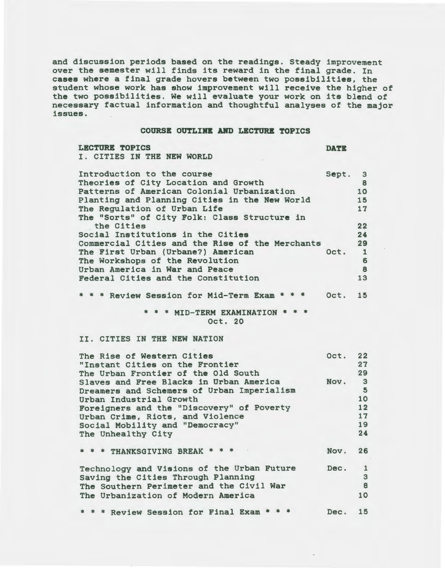and discussion periods based on the readings. Steady improvement over the semester will finds its reward in the final grade. In cases where a final grade hovers between two possibilities, the student whose work has show improvement will receive the higher of the two possibilities. We will evaluate your work on its blend of necessary factual information and thoughtful analyses of the major issues.

#### COURSE OUTLIRB ABD LECTURE TOPICS

LECTURE TOPICS DATE I. CITIES IN THE NEW WORLD

Introduction to the course Sept. 3 Theories of City Location and Growth 8<br>Patterns of American Colonial Urbanization 10 Patterns of American Colonial Urbanization 10<br>
Planting and Planning Cities in the New World 15 Planting and Planning Cities in the New World 15<br>The Regulation of Urban Life 17 The Regulation of Urban Life The "Sorts" of City Folk: Class Structure in the Cities 22 the Cities 22<br>Social Institutions in the Cities 24<br>Commercial Cities and the Rise of the Merchants 29 Commercial Cities and the Rise of the Merchants The First Urban (Urbane?) American 0ct. 1<br>The Workshops of the Revolution 6 The Workshops of the Revolution 6<br>
Urban America in War and Peace 6 Urban America in War and Peace 8<br>Federal Cities and the Constitution 13 Federal Cities and the Constitution

\* \* \* Review Session for Mid-Term Exam \* \* \* Oct. 15

> \* \* \* MID-TERM EXAMINATION \* \* \* Oct. 20

## II. CITIES IN THE NEW NATION

| The Rise of Western Cities<br>"Instant Cities on the Frontier<br>The Urban Frontier of the Old South                                                               | Oct. 22 | 27<br>29                           |
|--------------------------------------------------------------------------------------------------------------------------------------------------------------------|---------|------------------------------------|
| Slaves and Free Blacks in Urban America<br>Dreamers and Schemers of Urban Imperialism<br>Urban Industrial Growth                                                   | Nov.    | $\overline{\mathbf{3}}$<br>5<br>10 |
| Foreigners and the "Discovery" of Poverty<br>Urban Crime, Riots, and Violence                                                                                      |         | 12<br>17                           |
| Social Mobility and "Democracy"<br>The Unhealthy City                                                                                                              |         | 19<br>24                           |
| * * * THANKSGIVING BREAK * * *                                                                                                                                     | Nov.    | 26                                 |
| Technology and Visions of the Urban Future<br>Saving the Cities Through Planning<br>The Southern Perimeter and the Civil War<br>The Urbanization of Modern America | Dec.    | $\mathbf{1}$<br>3<br>8<br>10       |
| * Review Session for Final Exam                                                                                                                                    | Dec.    | 15                                 |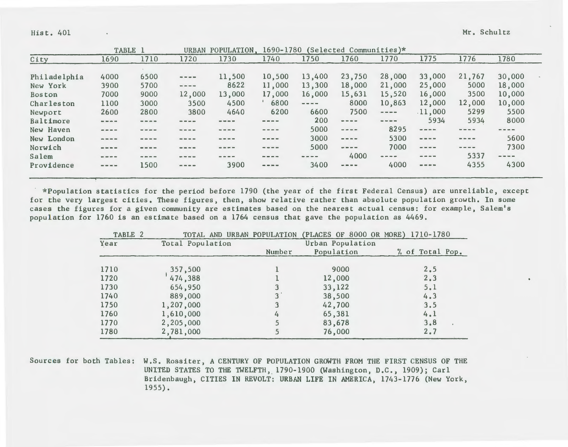Hist. 401 Mr. Schultz

 $\bullet$ 

|               | TABLE 1                                                 |                                                                                | <b>URBAN</b>                                                                                                                                                                                                                                                                                                                                                                                 | POPULATION. | 1690-1780                                                                                |                                                                                                                                                                                                                                                                                                                                                                                              | (Selected Communities)*                                                                                                                                                                                                                                                                                                                                                                                                                                                    |                                                                                 |                                                                                                                                                                                                                                                                                                                                                                                                                                                                            |                                             |                        |  |
|---------------|---------------------------------------------------------|--------------------------------------------------------------------------------|----------------------------------------------------------------------------------------------------------------------------------------------------------------------------------------------------------------------------------------------------------------------------------------------------------------------------------------------------------------------------------------------|-------------|------------------------------------------------------------------------------------------|----------------------------------------------------------------------------------------------------------------------------------------------------------------------------------------------------------------------------------------------------------------------------------------------------------------------------------------------------------------------------------------------|----------------------------------------------------------------------------------------------------------------------------------------------------------------------------------------------------------------------------------------------------------------------------------------------------------------------------------------------------------------------------------------------------------------------------------------------------------------------------|---------------------------------------------------------------------------------|----------------------------------------------------------------------------------------------------------------------------------------------------------------------------------------------------------------------------------------------------------------------------------------------------------------------------------------------------------------------------------------------------------------------------------------------------------------------------|---------------------------------------------|------------------------|--|
| City          | 1690                                                    | 1710                                                                           | 1720                                                                                                                                                                                                                                                                                                                                                                                         | 1730        | 1740                                                                                     | 1750                                                                                                                                                                                                                                                                                                                                                                                         | 1760                                                                                                                                                                                                                                                                                                                                                                                                                                                                       | 1770                                                                            | 1775                                                                                                                                                                                                                                                                                                                                                                                                                                                                       | 1776                                        | 1780                   |  |
|               |                                                         |                                                                                |                                                                                                                                                                                                                                                                                                                                                                                              |             |                                                                                          |                                                                                                                                                                                                                                                                                                                                                                                              |                                                                                                                                                                                                                                                                                                                                                                                                                                                                            |                                                                                 |                                                                                                                                                                                                                                                                                                                                                                                                                                                                            |                                             |                        |  |
| Philadelphia  | 4000                                                    | 6500                                                                           | $\frac{1}{2} \frac{1}{2} \frac{1}{2} \frac{1}{2} \frac{1}{2} \frac{1}{2} \frac{1}{2} \frac{1}{2} \frac{1}{2} \frac{1}{2} \frac{1}{2} \frac{1}{2} \frac{1}{2} \frac{1}{2} \frac{1}{2} \frac{1}{2} \frac{1}{2} \frac{1}{2} \frac{1}{2} \frac{1}{2} \frac{1}{2} \frac{1}{2} \frac{1}{2} \frac{1}{2} \frac{1}{2} \frac{1}{2} \frac{1}{2} \frac{1}{2} \frac{1}{2} \frac{1}{2} \frac{1}{2} \frac{$ | 11,500      | 10,500                                                                                   | 13,400                                                                                                                                                                                                                                                                                                                                                                                       | 23,750                                                                                                                                                                                                                                                                                                                                                                                                                                                                     | 28,000                                                                          | 33,000                                                                                                                                                                                                                                                                                                                                                                                                                                                                     | 21,767                                      | 30,000                 |  |
| New York      | 3900                                                    | 5700                                                                           | $\frac{1}{2} \frac{1}{2} \frac{1}{2} \frac{1}{2} \frac{1}{2} \frac{1}{2} \frac{1}{2} \frac{1}{2} \frac{1}{2} \frac{1}{2} \frac{1}{2} \frac{1}{2} \frac{1}{2} \frac{1}{2} \frac{1}{2} \frac{1}{2} \frac{1}{2} \frac{1}{2} \frac{1}{2} \frac{1}{2} \frac{1}{2} \frac{1}{2} \frac{1}{2} \frac{1}{2} \frac{1}{2} \frac{1}{2} \frac{1}{2} \frac{1}{2} \frac{1}{2} \frac{1}{2} \frac{1}{2} \frac{$ | 8622        | 11,000                                                                                   | 13,300                                                                                                                                                                                                                                                                                                                                                                                       | 18,000                                                                                                                                                                                                                                                                                                                                                                                                                                                                     | 21,000                                                                          | 25,000                                                                                                                                                                                                                                                                                                                                                                                                                                                                     | 5000                                        | 18,000                 |  |
| <b>Boston</b> | 7000                                                    | 9000                                                                           | 12,000                                                                                                                                                                                                                                                                                                                                                                                       | 13,000      | 17,000                                                                                   | 16,000                                                                                                                                                                                                                                                                                                                                                                                       | 15,631                                                                                                                                                                                                                                                                                                                                                                                                                                                                     | 15,520                                                                          | 16,000                                                                                                                                                                                                                                                                                                                                                                                                                                                                     | 3500                                        | 10,000                 |  |
| Charleston    | 1100                                                    | 3000                                                                           | 3500                                                                                                                                                                                                                                                                                                                                                                                         | 4500        | 6800                                                                                     | $\frac{1}{2} \frac{1}{2} \frac{1}{2} \frac{1}{2} \frac{1}{2} \frac{1}{2} \frac{1}{2} \frac{1}{2} \frac{1}{2} \frac{1}{2} \frac{1}{2} \frac{1}{2} \frac{1}{2} \frac{1}{2} \frac{1}{2} \frac{1}{2} \frac{1}{2} \frac{1}{2} \frac{1}{2} \frac{1}{2} \frac{1}{2} \frac{1}{2} \frac{1}{2} \frac{1}{2} \frac{1}{2} \frac{1}{2} \frac{1}{2} \frac{1}{2} \frac{1}{2} \frac{1}{2} \frac{1}{2} \frac{$ | 8000                                                                                                                                                                                                                                                                                                                                                                                                                                                                       | 10,863                                                                          | 12,000                                                                                                                                                                                                                                                                                                                                                                                                                                                                     | 12,000                                      | 10,000                 |  |
| Newport       | 2600                                                    | 2800                                                                           | 3800                                                                                                                                                                                                                                                                                                                                                                                         | 4640        | 6200                                                                                     | 6600                                                                                                                                                                                                                                                                                                                                                                                         | 7500                                                                                                                                                                                                                                                                                                                                                                                                                                                                       | $\qquad \qquad - \qquad - \qquad -$                                             | .11,000                                                                                                                                                                                                                                                                                                                                                                                                                                                                    | 5299                                        | 5500                   |  |
| Baltimore     | $\omega_1 \cdot \omega_2 \cdot \omega_3 \cdot \omega_4$ | ----                                                                           |                                                                                                                                                                                                                                                                                                                                                                                              |             | $= - - -$                                                                                | 200                                                                                                                                                                                                                                                                                                                                                                                          | $\cdots$                                                                                                                                                                                                                                                                                                                                                                                                                                                                   | $\alpha\alpha\rightarrow\alpha\alpha$ and $\alpha\alpha\rightarrow\alpha\alpha$ | 5934                                                                                                                                                                                                                                                                                                                                                                                                                                                                       | 5934                                        | 8000                   |  |
| New Hayen     | $\qquad \qquad \cdots \qquad \qquad$                    | $\cdots \cdots \cdots$                                                         |                                                                                                                                                                                                                                                                                                                                                                                              | $= -1$      | $\qquad \qquad \cdots \qquad \qquad \cdots$                                              | 5000                                                                                                                                                                                                                                                                                                                                                                                         | $\frac{1}{2}$                                                                                                                                                                                                                                                                                                                                                                                                                                                              | 8295                                                                            | $\frac{1}{2} \left( \frac{1}{2} \right) \left( \frac{1}{2} \right) \left( \frac{1}{2} \right) \left( \frac{1}{2} \right) \left( \frac{1}{2} \right) \left( \frac{1}{2} \right) \left( \frac{1}{2} \right) \left( \frac{1}{2} \right) \left( \frac{1}{2} \right) \left( \frac{1}{2} \right) \left( \frac{1}{2} \right) \left( \frac{1}{2} \right) \left( \frac{1}{2} \right) \left( \frac{1}{2} \right) \left( \frac{1}{2} \right) \left( \frac{1}{2} \right) \left( \frac$ | $= -1$                                      | $\cdots \cdots \cdots$ |  |
| New London    | $\cdots \cdots \cdots$                                  | $\cdots$                                                                       | ----                                                                                                                                                                                                                                                                                                                                                                                         | $= 0.001$   | $\qquad \qquad \blacksquare \qquad \blacksquare \qquad \blacksquare \qquad \blacksquare$ | 3000                                                                                                                                                                                                                                                                                                                                                                                         | $\frac{1}{2} \left( \frac{1}{2} \right) \left( \frac{1}{2} \right) \left( \frac{1}{2} \right) \left( \frac{1}{2} \right) \left( \frac{1}{2} \right) \left( \frac{1}{2} \right) \left( \frac{1}{2} \right) \left( \frac{1}{2} \right) \left( \frac{1}{2} \right) \left( \frac{1}{2} \right) \left( \frac{1}{2} \right) \left( \frac{1}{2} \right) \left( \frac{1}{2} \right) \left( \frac{1}{2} \right) \left( \frac{1}{2} \right) \left( \frac{1}{2} \right) \left( \frac$ | 5300                                                                            | $\frac{1}{2} \frac{1}{2} \frac{1}{2} \frac{1}{2} \frac{1}{2} \frac{1}{2} \frac{1}{2} \frac{1}{2} \frac{1}{2} \frac{1}{2} \frac{1}{2} \frac{1}{2} \frac{1}{2} \frac{1}{2} \frac{1}{2} \frac{1}{2} \frac{1}{2} \frac{1}{2} \frac{1}{2} \frac{1}{2} \frac{1}{2} \frac{1}{2} \frac{1}{2} \frac{1}{2} \frac{1}{2} \frac{1}{2} \frac{1}{2} \frac{1}{2} \frac{1}{2} \frac{1}{2} \frac{1}{2} \frac{$                                                                               | $= - - -$                                   | 5600                   |  |
| Norwich       | $\cdots \cdots \cdots$                                  | $= - -$                                                                        | $\cdots$                                                                                                                                                                                                                                                                                                                                                                                     | $- - - -$   | $\qquad \qquad \cdots \qquad \qquad \cdots$                                              | 5000                                                                                                                                                                                                                                                                                                                                                                                         | $\frac{1}{2} \frac{1}{2} \frac{1}{2} \frac{1}{2} \frac{1}{2} \frac{1}{2} \frac{1}{2} \frac{1}{2} \frac{1}{2} \frac{1}{2} \frac{1}{2} \frac{1}{2} \frac{1}{2} \frac{1}{2} \frac{1}{2} \frac{1}{2} \frac{1}{2} \frac{1}{2} \frac{1}{2} \frac{1}{2} \frac{1}{2} \frac{1}{2} \frac{1}{2} \frac{1}{2} \frac{1}{2} \frac{1}{2} \frac{1}{2} \frac{1}{2} \frac{1}{2} \frac{1}{2} \frac{1}{2} \frac{$                                                                               | 7000                                                                            | $= - - -$                                                                                                                                                                                                                                                                                                                                                                                                                                                                  | $\qquad \qquad \cdots \qquad \qquad \cdots$ | 7300                   |  |
| Salem         | $\omega = \omega - \omega$                              | $\qquad \qquad \  \  \, \Rightarrow\qquad \  \  \, \Rightarrow\qquad \  \  \,$ | ---                                                                                                                                                                                                                                                                                                                                                                                          |             | $\qquad \qquad \blacksquare \qquad \blacksquare \qquad \blacksquare \qquad \blacksquare$ | $= - -$                                                                                                                                                                                                                                                                                                                                                                                      | 4000                                                                                                                                                                                                                                                                                                                                                                                                                                                                       | $\frac{1}{2}$                                                                   | $\qquad \qquad \blacksquare \qquad \blacksquare \qquad \blacksquare \qquad \blacksquare$                                                                                                                                                                                                                                                                                                                                                                                   | 5337                                        | $- - - -$              |  |
| Providence    | $\cdots \cdots \cdots$                                  | 1500                                                                           | $\qquad \qquad \cdots \qquad \qquad \cdots$                                                                                                                                                                                                                                                                                                                                                  | 3900        | $\qquad \qquad \Rightarrow \qquad \Rightarrow \qquad \Rightarrow$                        | 3400                                                                                                                                                                                                                                                                                                                                                                                         | $\frac{1}{2} \left( \frac{1}{2} \right) \left( \frac{1}{2} \right) \left( \frac{1}{2} \right) \left( \frac{1}{2} \right) \left( \frac{1}{2} \right) \left( \frac{1}{2} \right) \left( \frac{1}{2} \right) \left( \frac{1}{2} \right) \left( \frac{1}{2} \right) \left( \frac{1}{2} \right) \left( \frac{1}{2} \right) \left( \frac{1}{2} \right) \left( \frac{1}{2} \right) \left( \frac{1}{2} \right) \left( \frac{1}{2} \right) \left( \frac{1}{2} \right) \left( \frac$ | 4000                                                                            | $\mathbf{m} = \mathbf{m} + \mathbf{m}$                                                                                                                                                                                                                                                                                                                                                                                                                                     | 4355                                        | 4300                   |  |

\*Population statistics for the period before 1790 (the year of the first Federal Census) are unreliable, except for the very largest cities. These figures, then, show relative rather than absolute population growth. In some cases the figures for a given community are estimates based on the nearest actual census: for example, Salem's population for 1760 is an estimate based on a 1764 census that gave the population as 4469.

| TABLE 2 |                  |        | TOTAL AND URBAN POPULATION (PLACES OF 8000 OR MORE) 1710-1780 |                 |  |  |
|---------|------------------|--------|---------------------------------------------------------------|-----------------|--|--|
| Year    | Total Population |        | Urban Population                                              |                 |  |  |
|         |                  | Number | Population                                                    | % of Total Pop. |  |  |
|         |                  |        |                                                               |                 |  |  |
| 1710    | 357,500          |        | 9000                                                          | 2.5             |  |  |
| 1720    | 474,388          |        | 12,000                                                        | 2.3             |  |  |
| 1730    | 654,950          |        | 33,122                                                        | 5.1             |  |  |
| 1740    | 889,000          | 3      | 38,500                                                        | 4.3             |  |  |
| 1750    | 1,207,000        |        | 42,700                                                        | 3.5             |  |  |
| 1760    | 1,610,000        | 4      | 65,381                                                        | 4.1             |  |  |
| 1770    | 2,205,000        |        | 83,678                                                        | 3.8             |  |  |
| 1780    | 2,781,000        |        | 76,000                                                        | 2.7             |  |  |

Sources for both Tables: W.S. Rossiter, A CENTURY OF POPULATION GROWTH FROM THE FIRST CENSUS OF THE UNITED STATES TO THE TWELFTH, 1790-1900 (Washington, D.C., 1909); Carl Bridenbaugh, CITIES IN REVOLT: URBAN LIFE IN AMERICA, 1743-1776 (New York, 1955).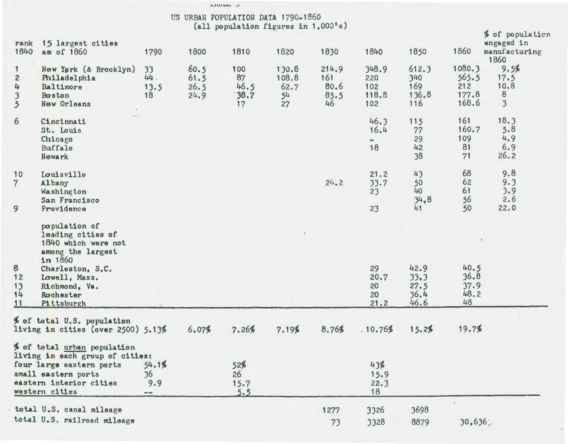|                                                     |                                                                                                                                                                |                           | US URBAN POPULATION DATA 1790-1860 | (all population figures in $1,000$ <sup>1</sup> s) |                                                |                                    |                                      |                                     |                                          |                                                                     |
|-----------------------------------------------------|----------------------------------------------------------------------------------------------------------------------------------------------------------------|---------------------------|------------------------------------|----------------------------------------------------|------------------------------------------------|------------------------------------|--------------------------------------|-------------------------------------|------------------------------------------|---------------------------------------------------------------------|
| rank<br>1840                                        | 15 largest cities<br>as of 1860                                                                                                                                | 1790                      | 1800                               | 1810                                               | 1820                                           | 1830                               | 1840                                 | 1850                                | 1860                                     | % of population<br>engaged in<br>manufacturing<br>1860              |
| $\overline{c}$<br>4<br>$\overline{\mathbf{3}}$<br>5 | New York (& Brooklyn)<br>Philadelphia<br>Baltimore<br>Boston<br><b>New Orleans</b>                                                                             | 33<br>44.<br>13.5<br>18   | 60.5<br>61.5<br>26.5<br>24.9       | 100<br>87<br>46.5<br>38.7<br>17                    | 130.8<br>108.8<br>62.7<br>5 <sup>4</sup><br>27 | 214.9<br>161<br>80.6<br>85.5<br>46 | 348.9<br>220<br>102<br>118.8<br>102  | 612.3<br>340<br>169<br>136.8<br>116 | 1080.3<br>565.5<br>212<br>177.8<br>168.6 | 9.5%<br>17.5<br>10.8<br>$\boldsymbol{8}$<br>$\overline{\mathbf{3}}$ |
| 6                                                   | Cincinnati<br>St. Louis<br>Chicago<br>Buffalo<br>Newark                                                                                                        |                           |                                    |                                                    |                                                |                                    | 46.3<br>16.4<br>$\blacksquare$<br>18 | 115<br>77<br>29<br>42<br>38         | 161<br>160.7<br>109<br>81<br>71          | 18.3<br>5.8<br>4.9<br>6.9<br>26.2                                   |
| 10<br>$\overline{7}$<br>9                           | Louisville<br>Albany<br>Washington<br>San Francisco<br>Providence                                                                                              |                           |                                    |                                                    |                                                | 24.2                               | 21.2<br>33.7<br>23<br>23             | 43<br>50<br>40<br>34.8<br>41        | 68<br>62<br>61<br>56<br>50               | 9.8<br>9.3<br>3.9<br>2.6<br>22.0                                    |
| 8                                                   | population of<br>leading cities of<br>1840 which were not<br>among the largest<br>in 1860<br>Charleston, S.C.                                                  |                           |                                    |                                                    |                                                |                                    | 29                                   | 42.9                                | 40.5                                     |                                                                     |
| 12<br>13<br>14<br>11                                | Lowell, Mass.<br>Richmond, Va.<br>Rochester<br>Pittsburgh                                                                                                      |                           |                                    |                                                    |                                                |                                    | 20.7<br>20<br>20<br>21.2             | 33.3<br>27.5<br>36.4<br>46.6        | 36.8<br>37.9<br>48.2<br>48               |                                                                     |
|                                                     | % of total U.S. population<br>living in cities (over $2500$ ) $5.13%$                                                                                          |                           | 6.07%                              | 7.26%                                              | 7.19%                                          | 8.76%                              | .10.76%                              | 15.2%                               | 19.7%                                    |                                                                     |
|                                                     | % of total urban population<br>living in each group of cities:<br>four large eastern ports<br>small eastern ports<br>eastern interior cities<br>western cities | 54.1%<br>36<br>9.9<br>$-$ |                                    | 52%<br>26<br>15.7<br>5.5                           |                                                |                                    | 43%<br>15.9<br>22.3<br>18            |                                     |                                          |                                                                     |
|                                                     | total U.S. canal mileage<br>total U.S. railroad mileage                                                                                                        |                           |                                    |                                                    |                                                | 1277<br>73                         | 3326<br>3328                         | 3698<br>8879                        | 30,636                                   |                                                                     |

**ARMAN U**